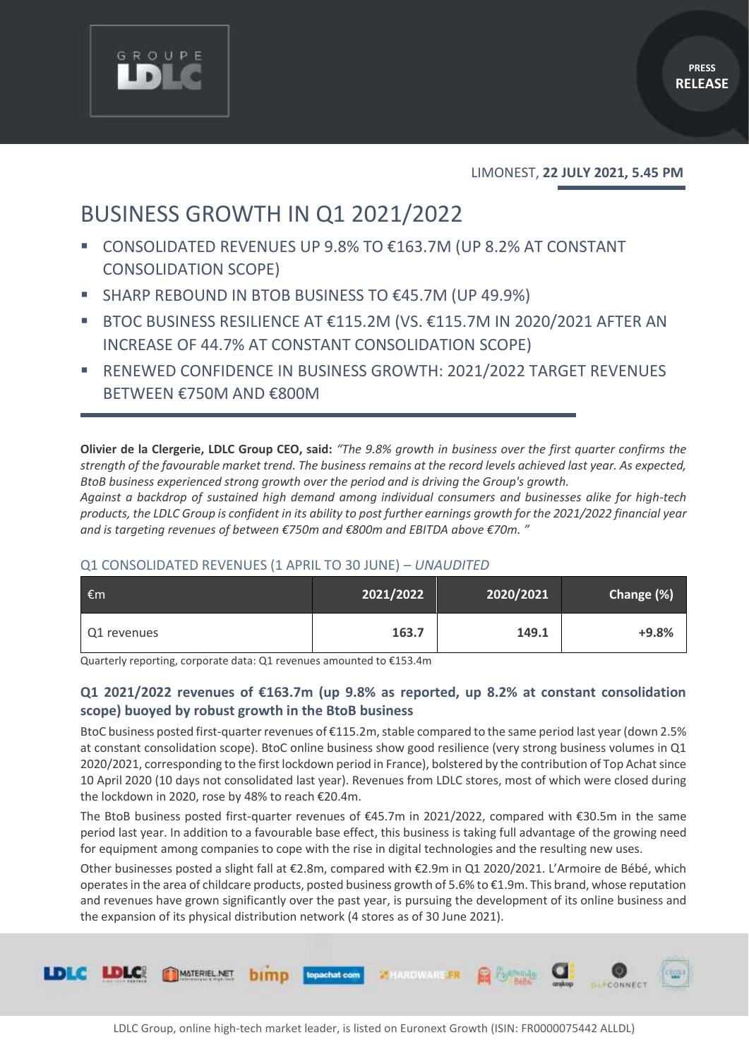

#### LIMONEST, **22 JULY 2021, 5.45 PM**

# BUSINESS GROWTH IN Q1 2021/2022

- CONSOLIDATED REVENUES UP 9.8% TO €163.7M (UP 8.2% AT CONSTANT CONSOLIDATION SCOPE)
- SHARP REBOUND IN BTOB BUSINESS TO €45.7M (UP 49.9%)
- BTOC BUSINESS RESILIENCE AT  $£115.2M$  (VS.  $£115.7M$  IN 2020/2021 AFTER AN INCREASE OF 44.7% AT CONSTANT CONSOLIDATION SCOPE)
- RENEWED CONFIDENCE IN BUSINESS GROWTH: 2021/2022 TARGET REVENUES BETWEEN €750M AND €800M

**Olivier de la Clergerie, LDLC Group CEO, said:** *"The 9.8% growth in business over the first quarter confirms the strength of the favourable market trend. The business remains at the record levels achieved last year. As expected, BtoB business experienced strong growth over the period and is driving the Group's growth.* 

*Against a backdrop of sustained high demand among individual consumers and businesses alike for high-tech products, the LDLC Group is confident in its ability to post further earnings growth for the 2021/2022 financial year and is targeting revenues of between €750m and €800m and EBITDA above €70m. "*

### Q1 CONSOLIDATED REVENUES (1 APRIL TO 30 JUNE) – *UNAUDITED*

| €m          | 2021/2022 | 2020/2021 | Change (%) |
|-------------|-----------|-----------|------------|
| Q1 revenues | 163.7     | 149.1     | $+9.8%$    |

Quarterly reporting, corporate data: Q1 revenues amounted to €153.4m

# **Q1 2021/2022 revenues of €163.7m (up 9.8% as reported, up 8.2% at constant consolidation scope) buoyed by robust growth in the BtoB business**

BtoC business posted first-quarter revenues of €115.2m, stable compared to the same period last year (down 2.5% at constant consolidation scope). BtoC online business show good resilience (very strong business volumes in Q1 2020/2021, corresponding to the first lockdown period in France), bolstered by the contribution of Top Achat since 10 April 2020 (10 days not consolidated last year). Revenues from LDLC stores, most of which were closed during the lockdown in 2020, rose by 48% to reach €20.4m.

The BtoB business posted first-quarter revenues of €45.7m in 2021/2022, compared with €30.5m in the same period last year. In addition to a favourable base effect, this business is taking full advantage of the growing need for equipment among companies to cope with the rise in digital technologies and the resulting new uses.

Other businesses posted a slight fall at €2.8m, compared with €2.9m in Q1 2020/2021. L'Armoire de Bébé, which operates in the area of childcare products, posted business growth of 5.6% to €1.9m. This brand, whose reputation and revenues have grown significantly over the past year, is pursuing the development of its online business and the expansion of its physical distribution network (4 stores as of 30 June 2021).